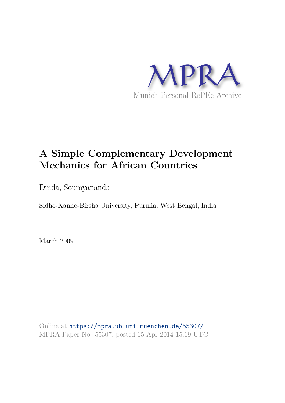

# **A Simple Complementary Development Mechanics for African Countries**

Dinda, Soumyananda

Sidho-Kanho-Birsha University, Purulia, West Bengal, India

March 2009

Online at https://mpra.ub.uni-muenchen.de/55307/ MPRA Paper No. 55307, posted 15 Apr 2014 15:19 UTC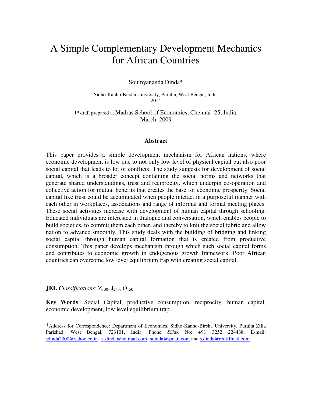## A Simple Complementary Development Mechanics for African Countries

Soumyananda Dinda\*

Sidho-Kanho-Birsha University, Purulia, West Bengal, India 2014

1<sup>st</sup> draft prepared at Madras School of Economics, Chennai -25, India. March, 2009

#### **Abstract**

This paper provides a simple development mechanism for African nations, where economic development is low due to not only low level of physical capital but also poor social capital that leads to lot of conflicts. The study suggests for development of social capital, which is a broader concept containing the social norms and networks that generate shared understandings, trust and reciprocity, which underpin co-operation and collective action for mutual benefits that creates the base for economic prosperity. Social capital like trust could be accumulated when people interact in a purposeful manner with each other in workplaces, associations and range of informal and formal meeting places. These social activities increase with development of human capital through schooling. Educated individuals are interested in dialogue and conversation, which enables people to build societies, to commit them each other, and thereby to knit the social fabric and allow nation to advance smoothly. This study deals with the building of bridging and linking social capital through human capital formation that is created from productive consumption. This paper develops mechanism through which such social capital forms and contributes to economic growth in endogenous growth framework. Poor African countries can overcome low level equilibrium trap with creating social capital.

**JEL** *Classifications*:  $Z_{130}$ ,  $J_{240}$ ,  $O_{150}$ .

--------------

**Key Words**: Social Capital, productive consumption, reciprocity, human capital, economic development, low level equilibrium trap.

<sup>\*</sup>Address for Correspondence: Department of Economics, Sidho-Kanho-Birsha University, Purulia Zilla Parishad, West Bengal, 723101, India. Phone &Fax No: +91 3252 224438, E-mail: [sdinda2000@yahoo.co.in](mailto:sdinda2000@yahoo.co.in), [s\\_dinda@hotmail.com](mailto:s_dinda@hotmail.com), [sdinda@gmail.com](mailto:sdinda@gmail.com) and [s.dinda@rediffmail.com](mailto:s.dinda@rediffmail.com)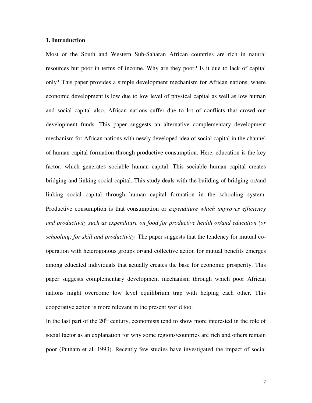#### **1. Introduction**

Most of the South and Western Sub-Saharan African countries are rich in natural resources but poor in terms of income. Why are they poor? Is it due to lack of capital only? This paper provides a simple development mechanism for African nations, where economic development is low due to low level of physical capital as well as low human and social capital also. African nations suffer due to lot of conflicts that crowd out development funds. This paper suggests an alternative complementary development mechanism for African nations with newly developed idea of social capital in the channel of human capital formation through productive consumption. Here, education is the key factor, which generates sociable human capital. This sociable human capital creates bridging and linking social capital. This study deals with the building of bridging or/and linking social capital through human capital formation in the schooling system. Productive consumption is that consumption or *expenditure which improves efficiency and productivity such as expenditure on food for productive health or/and education (or schooling) for skill and productivity.* The paper suggests that the tendency for mutual cooperation with heterogonous groups or/and collective action for mutual benefits emerges among educated individuals that actually creates the base for economic prosperity. This paper suggests complementary development mechanism through which poor African nations might overcome low level equilibrium trap with helping each other. This cooperative action is more relevant in the present world too.

In the last part of the  $20<sup>th</sup>$  century, economists tend to show more interested in the role of social factor as an explanation for why some regions/countries are rich and others remain poor (Putnam et al. 1993). Recently few studies have investigated the impact of social

2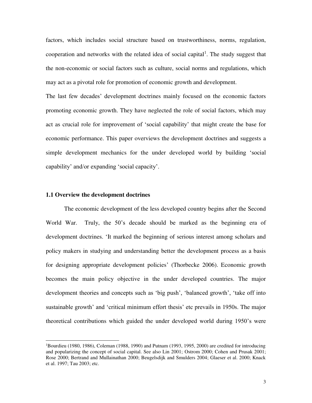factors, which includes social structure based on trustworthiness, norms, regulation, cooperation and networks with the related idea of social capital<sup>1</sup>. The study suggest that the non-economic or social factors such as culture, social norms and regulations, which may act as a pivotal role for promotion of economic growth and development.

The last few decades' development doctrines mainly focused on the economic factors promoting economic growth. They have neglected the role of social factors, which may act as crucial role for improvement of 'social capability' that might create the base for economic performance. This paper overviews the development doctrines and suggests a simple development mechanics for the under developed world by building 'social capability' and/or expanding 'social capacity'.

#### **1.1 Overview the development doctrines**

 $\overline{a}$ 

The economic development of the less developed country begins after the Second World War. Truly, the 50's decade should be marked as the beginning era of development doctrines. 'It marked the beginning of serious interest among scholars and policy makers in studying and understanding better the development process as a basis for designing appropriate development policies' (Thorbecke 2006). Economic growth becomes the main policy objective in the under developed countries. The major development theories and concepts such as 'big push', 'balanced growth', 'take off into sustainable growth' and 'critical minimum effort thesis' etc prevails in 1950s. The major theoretical contributions which guided the under developed world during 1950's were

<sup>&</sup>lt;sup>1</sup>Bourdieu (1980, 1986), Coleman (1988, 1990) and Putnam (1993, 1995, 2000) are credited for introducing and popularizing the concept of social capital. See also Lin 2001; Ostrom 2000; Cohen and Prusak 2001; Rose 2000; Bertrand and Mullainathan 2000; Beugelsdijk and Smulders 2004; Glaeser et al. 2000; Knack et al. 1997; Tau 2003; etc.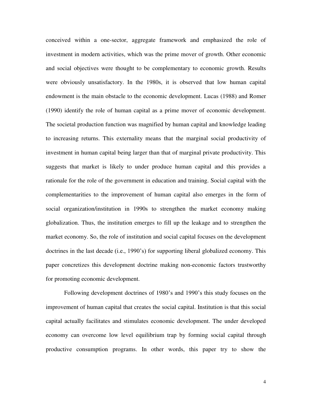conceived within a one-sector, aggregate framework and emphasized the role of investment in modern activities, which was the prime mover of growth. Other economic and social objectives were thought to be complementary to economic growth. Results were obviously unsatisfactory. In the 1980s, it is observed that low human capital endowment is the main obstacle to the economic development. Lucas (1988) and Romer (1990) identify the role of human capital as a prime mover of economic development. The societal production function was magnified by human capital and knowledge leading to increasing returns. This externality means that the marginal social productivity of investment in human capital being larger than that of marginal private productivity. This suggests that market is likely to under produce human capital and this provides a rationale for the role of the government in education and training. Social capital with the complementarities to the improvement of human capital also emerges in the form of social organization/institution in 1990s to strengthen the market economy making globalization. Thus, the institution emerges to fill up the leakage and to strengthen the market economy. So, the role of institution and social capital focuses on the development doctrines in the last decade (i.e., 1990's) for supporting liberal globalized economy. This paper concretizes this development doctrine making non-economic factors trustworthy for promoting economic development.

Following development doctrines of 1980's and 1990's this study focuses on the improvement of human capital that creates the social capital. Institution is that this social capital actually facilitates and stimulates economic development. The under developed economy can overcome low level equilibrium trap by forming social capital through productive consumption programs. In other words, this paper try to show the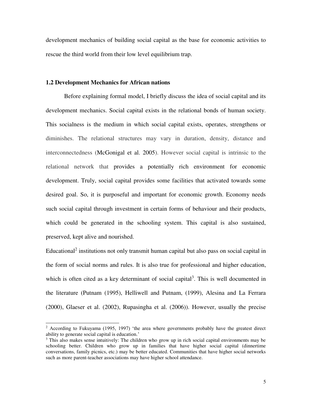development mechanics of building social capital as the base for economic activities to rescue the third world from their low level equilibrium trap.

#### **1.2 Development Mechanics for African nations**

 $\overline{a}$ 

Before explaining formal model, I briefly discuss the idea of social capital and its development mechanics. Social capital exists in the relational bonds of human society. This socialness is the medium in which social capital exists, operates, strengthens or diminishes. The relational structures may vary in duration, density, distance and interconnectedness (McGonigal et al. 2005). However social capital is intrinsic to the relational network that provides a potentially rich environment for economic development. Truly, social capital provides some facilities that activated towards some desired goal. So, it is purposeful and important for economic growth. Economy needs such social capital through investment in certain forms of behaviour and their products, which could be generated in the schooling system. This capital is also sustained, preserved, kept alive and nourished.

Educational<sup>2</sup> institutions not only transmit human capital but also pass on social capital in the form of social norms and rules. It is also true for professional and higher education, which is often cited as a key determinant of social capital<sup>3</sup>. This is well documented in the literature (Putnam (1995), Helliwell and Putnam, (1999), Alesina and La Ferrara (2000), Glaeser et al. (2002), Rupasingha et al. (2006)). However, usually the precise

 $2$  According to Fukuyama (1995, 1997) 'the area where governments probably have the greatest direct ability to generate social capital is education.'

<sup>&</sup>lt;sup>3</sup> This also makes sense intuitively: The children who grow up in rich social capital environments may be schooling better. Children who grow up in families that have higher social capital (dinnertime conversations, family picnics, etc.) may be better educated. Communities that have higher social networks such as more parent-teacher associations may have higher school attendance.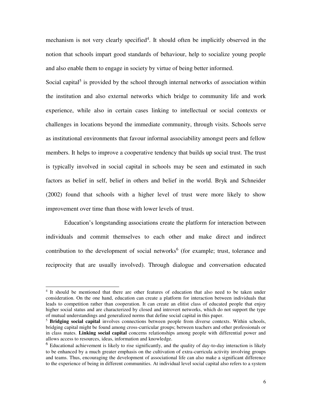mechanism is not very clearly specified<sup>4</sup>. It should often be implicitly observed in the notion that schools impart good standards of behaviour, help to socialize young people and also enable them to engage in society by virtue of being better informed.

Social capital<sup>5</sup> is provided by the school through internal networks of association within the institution and also external networks which bridge to community life and work experience, while also in certain cases linking to intellectual or social contexts or challenges in locations beyond the immediate community, through visits. Schools serve as institutional environments that favour informal associability amongst peers and fellow members. It helps to improve a cooperative tendency that builds up social trust. The trust is typically involved in social capital in schools may be seen and estimated in such factors as belief in self, belief in others and belief in the world. Bryk and Schneider (2002) found that schools with a higher level of trust were more likely to show improvement over time than those with lower levels of trust.

Education's longstanding associations create the platform for interaction between individuals and commit themselves to each other and make direct and indirect contribution to the development of social networks<sup>6</sup> (for example; trust, tolerance and reciprocity that are usually involved). Through dialogue and conversation educated

 $\overline{a}$ 

<sup>&</sup>lt;sup>4</sup> It should be mentioned that there are other features of education that also need to be taken under consideration. On the one hand, education can create a platform for interaction between individuals that leads to competition rather than cooperation. It can create an elitist class of educated people that enjoy higher social status and are characterized by closed and introvert networks, which do not support the type of mutual understandings and generalized norms that define social capital in this paper.

<sup>5</sup> **Bridging social capital** involves connections between people from diverse contexts. Within schools, bridging capital might be found among cross-curricular groups; between teachers and other professionals or in class mates. **Linking social capital** concerns relationships among people with differential power and allows access to resources, ideas, information and knowledge.

<sup>&</sup>lt;sup>6</sup> Educational achievement is likely to rise significantly, and the quality of day-to-day interaction is likely to be enhanced by a much greater emphasis on the cultivation of extra-curricula activity involving groups and teams. Thus, encouraging the development of associational life can also make a significant difference to the experience of being in different communities. At individual level social capital also refers to a system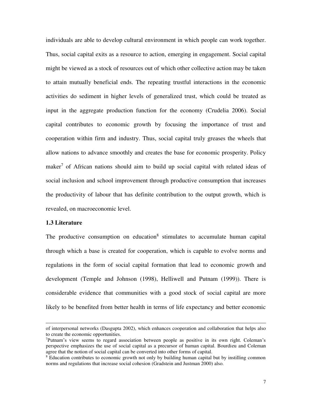individuals are able to develop cultural environment in which people can work together. Thus, social capital exits as a resource to action, emerging in engagement. Social capital might be viewed as a stock of resources out of which other collective action may be taken to attain mutually beneficial ends. The repeating trustful interactions in the economic activities do sediment in higher levels of generalized trust, which could be treated as input in the aggregate production function for the economy (Crudelia 2006). Social capital contributes to economic growth by focusing the importance of trust and cooperation within firm and industry. Thus, social capital truly greases the wheels that allow nations to advance smoothly and creates the base for economic prosperity. Policy maker<sup>7</sup> of African nations should aim to build up social capital with related ideas of social inclusion and school improvement through productive consumption that increases the productivity of labour that has definite contribution to the output growth, which is revealed, on macroeconomic level.

#### **1.3 Literature**

 $\overline{a}$ 

The productive consumption on education<sup>8</sup> stimulates to accumulate human capital through which a base is created for cooperation, which is capable to evolve norms and regulations in the form of social capital formation that lead to economic growth and development (Temple and Johnson (1998), Helliwell and Putnam (1999)). There is considerable evidence that communities with a good stock of social capital are more likely to be benefited from better health in terms of life expectancy and better economic

of interpersonal networks (Dasgupta 2002), which enhances cooperation and collaboration that helps also to create the economic opportunities.

<sup>7</sup>Putnam's view seems to regard association between people as positive in its own right. Coleman's perspective emphasizes the use of social capital as a precursor of human capital. Bourdieu and Coleman agree that the notion of social capital can be converted into other forms of capital.

<sup>&</sup>lt;sup>8</sup> Education contributes to economic growth not only by building human capital but by instilling common norms and regulations that increase social cohesion (Gradstein and Justman 2000) also.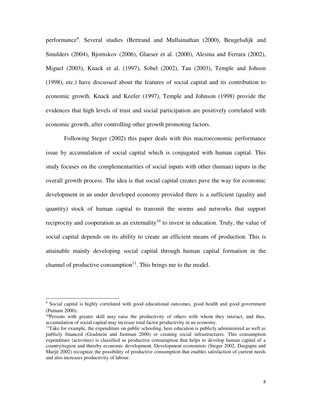performance<sup>9</sup>. Several studies (Bertrand and Mullainathan (2000), Beugelsdijk and Smulders (2004), Bjornskov (2006), Glaeser et al. (2000), Alesina and Ferrara (2002), Miguel (2003), Knack et al. (1997), Sobel (2002), Tau (2003), Temple and Johson (1998), etc.) have discussed about the features of social capital and its contribution to economic growth. Knack and Keefer (1997), Temple and Johnson (1998) provide the evidences that high levels of trust and social participation are positively correlated with economic growth, after controlling other growth promoting factors.

Following Steger (2002) this paper deals with this macroeconomic performance issue by accumulation of social capital which is conjugated with human capital. This study focuses on the complementarities of social inputs with other (human) inputs in the overall growth process. The idea is that social capital creates pave the way for economic development in an under developed economy provided there is a sufficient (quality and quantity) stock of human capital to transmit the norms and networks that support reciprocity and cooperation as an externality<sup>10</sup> to invest in education. Truly, the value of social capital depends on its ability to create an efficient means of production. This is attainable mainly developing social capital through human capital formation in the channel of productive consumption $11$ . This brings me to the model.

<sup>&</sup>lt;sup>9</sup> Social capital is highly correlated with good educational outcomes, good health and good government (Putnam 2000).

<sup>&</sup>lt;sup>10</sup>Persons with greater skill may raise the productivity of others with whom they interact, and thus, accumulation of social capital may increase total factor productivity in an economy.

 $<sup>11</sup>$ Take for example, the expenditure on public schooling, here education is publicly administered as well as</sup> publicly financed (Gradstein and Justman 2000) or creating social infrastructures. This consumption expenditure (activities) is classified as productive consumption that helps to develop human capital of a country/region and thereby economic development. Development economists (Steger 2002, Dasgupta and Marjit 2002) recognize the possibility of productive consumption that enables satisfaction of current needs and also increases productivity of labour.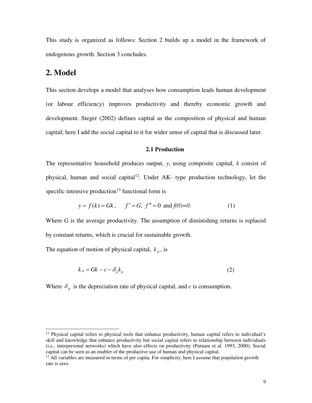This study is organized as follows: Section 2 builds up a model in the framework of endogenous growth. Section 3 concludes.

### **2. Model**

 $\overline{a}$ 

This section develops a model that analyses how consumption leads human development (or labour efficiency) improves productivity and thereby economic growth and development. Steger (2002) defines capital as the composition of physical and human capital; here I add the social capital to it for wider sense of capital that is discussed later.

#### **2.1 Production**

The representative household produces output, *y*, using composite capital, *k* consist of physical, human and social capital<sup>12</sup>. Under  $AK$ - type production technology, let the specific intensive production<sup>13</sup> functional form is

$$
y = f(k) = Gk
$$
,  $f' = G$ ,  $f'' = 0$  and  $f(0)=0$ . (1)

Where *G* is the average productivity. The assumption of diminishing returns is replaced by constant returns, which is crucial for sustainable growth.

The equation of motion of physical capital,  $k_p$ , is

$$
\dot{k}_p = Gk - c - \delta_p k_p \tag{2}
$$

Where  $\delta_p$  is the depreciation rate of physical capital, and *c* is consumption.

<sup>&</sup>lt;sup>12</sup> Physical capital refers to physical tools that enhance productivity, human capital refers to individual's skill and knowledge that enhance productivity but social capital refers to relationship between individuals (i.e., interpersonal networks) which have also effects on productivity (Putnam et al. 1993, 2000). Social capital can be seen as an enabler of the productive use of human and physical capital.

 $<sup>13</sup>$  All variables are measured in terms of per capita. For simplicity, here I assume that population growth</sup> rate is zero.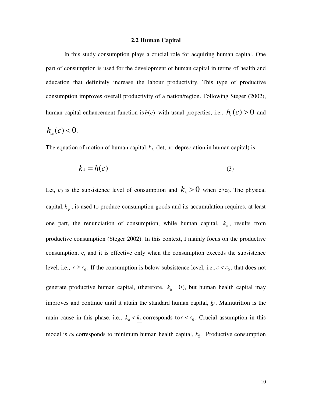#### **2.2 Human Capital**

In this study consumption plays a crucial role for acquiring human capital. One part of consumption is used for the development of human capital in terms of health and education that definitely increase the labour productivity. This type of productive consumption improves overall productivity of a nation/region. Following Steger (2002), human capital enhancement function is  $h(c)$  with usual properties, i.e.,  $h_c(c) > 0$  and

$$
h_{cc}(c) < 0.
$$

The equation of motion of human capital,  $k<sub>h</sub>$  (let, no depreciation in human capital) is

$$
k_h = h(c) \tag{3}
$$

Let, c<sub>0</sub> is the subsistence level of consumption and  $k<sub>h</sub> > 0$  when c>c<sub>0</sub>. The physical capital,  $k_p$ , is used to produce consumption goods and its accumulation requires, at least one part, the renunciation of consumption, while human capital,  $k_h$ , results from productive consumption (Steger 2002). In this context, I mainly focus on the productive consumption, c, and it is effective only when the consumption exceeds the subsistence level, i.e.,  $c \geq c_0$ . If the consumption is below subsistence level, i.e.,  $c < c_0$ , that does not

generate productive human capital, (therefore,  $k<sub>h</sub> = 0$ ), but human health capital may improves and continue until it attain the standard human capital, *kh*. Malnutrition is the main cause in this phase, i.e.,  $k_h < k_h$  corresponds to  $c < c_0$ . Crucial assumption in this model is *c0* corresponds to minimum human health capital, *kh*. Productive consumption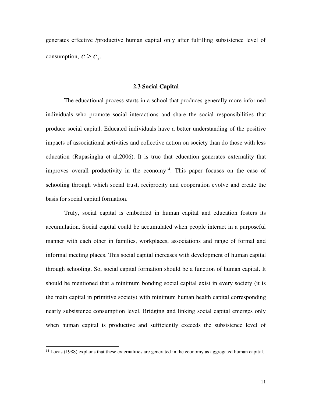generates effective /productive human capital only after fulfilling subsistence level of consumption,  $c > c_0$ .

#### **2.3 Social Capital**

The educational process starts in a school that produces generally more informed individuals who promote social interactions and share the social responsibilities that produce social capital. Educated individuals have a better understanding of the positive impacts of associational activities and collective action on society than do those with less education (Rupasingha et al.2006). It is true that education generates externality that improves overall productivity in the economy<sup>14</sup>. This paper focuses on the case of schooling through which social trust, reciprocity and cooperation evolve and create the basis for social capital formation.

Truly, social capital is embedded in human capital and education fosters its accumulation. Social capital could be accumulated when people interact in a purposeful manner with each other in families, workplaces, associations and range of formal and informal meeting places. This social capital increases with development of human capital through schooling. So, social capital formation should be a function of human capital. It should be mentioned that a minimum bonding social capital exist in every society (it is the main capital in primitive society) with minimum human health capital corresponding nearly subsistence consumption level. Bridging and linking social capital emerges only when human capital is productive and sufficiently exceeds the subsistence level of

 $\overline{a}$ 

<sup>&</sup>lt;sup>14</sup> Lucas (1988) explains that these externalities are generated in the economy as aggregated human capital.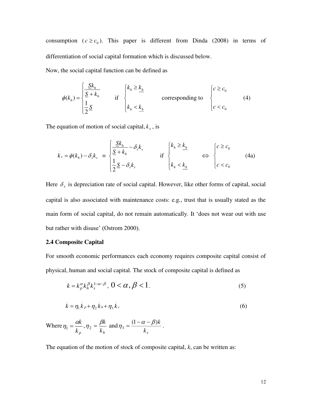consumption  $(c \ge c_0)$ . This paper is different from Dinda (2008) in terms of differentiation of social capital formation which is discussed below.

Now, the social capital function can be defined as

$$
\phi(k_h) = \begin{cases} \frac{\underline{S}k_h}{\underline{S} + k_h} & \text{if } \begin{cases} k_h \ge \underline{k}_h \\ k_h & \text{corresponding to} \end{cases} \begin{cases} c \ge c_0 \\ c & \text{for } k_h \le \underline{k}_h \end{cases} \end{cases}
$$

The equation of motion of social capital,  $k_s$ , is

$$
\dot{k}_s = \phi(k_h) - \delta_s k_s = \begin{cases} \frac{\underline{S}k_h}{\underline{S} + k_h} - \delta_s k_s & \text{if } \begin{cases} k_h \geq \underline{k}_h \\ k_h & \Longleftrightarrow \end{cases} \begin{cases} c \geq c_0 \\ c & \Longleftrightarrow \end{cases} \tag{4a}
$$

Here  $\delta_s$  is depreciation rate of social capital. However, like other forms of capital, social capital is also associated with maintenance costs: e.g., trust that is usually stated as the main form of social capital, do not remain automatically. It 'does not wear out with use but rather with disuse' (Ostrom 2000).

#### **2.4 Composite Capital**

For smooth economic performances each economy requires composite capital consist of physical, human and social capital. The stock of composite capital is defined as

$$
k = k_p^{\alpha} k_h^{\beta} k_s^{1-\alpha-\beta}, \quad 0 < \alpha, \beta < 1. \tag{5}
$$

$$
k = \eta_1 k_p + \eta_2 k_h + \eta_3 k_s \tag{6}
$$

Where 
$$
\eta_1 = \frac{\alpha k}{k_p}, \eta_2 = \frac{\beta k}{k_h}
$$
 and  $\eta_3 = \frac{(1 - \alpha - \beta)k}{k_s}$ .

The equation of the motion of stock of composite capital, *k*, can be written as: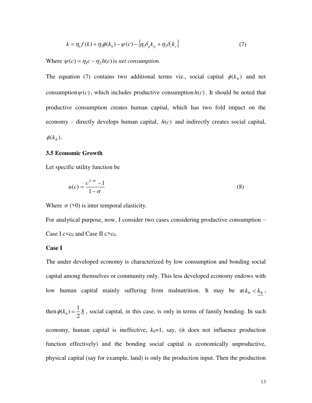$$
\dot{k} = \eta_1 f(k) + \eta_3 \phi(k_h) - \psi(c) - \left\{ \eta_1 \delta_p k_p + \eta_3 \delta_s k_s \right\} \tag{7}
$$

Where  $\psi(c) = \eta_1 c - \eta_2 h(c)$  is *net consumption*.

The equation (7) contains two additional terms viz., social capital  $\phi(k_h)$  and net consumption  $\psi(c)$ , which includes productive consumption  $h(c)$ . It should be noted that productive consumption creates human capital, which has two fold impact on the economy – directly develops human capital,  $h(c)$  and indirectly creates social capital,  $\phi(k_h)$ .

#### **3.5 Economic Growth**

Let specific utility function be

$$
u(c) = \frac{c^{1-\sigma} - 1}{1 - \sigma} \tag{8}
$$

Where  $\sigma$  (>0) is inter temporal elasticity.

For analytical purpose, now, I consider two cases considering productive consumption – Case I  $c \lt c_0$  and Case II  $c \gt c_0$ .

#### **Case I**

The under developed economy is characterized by low consumption and bonding social capital among themselves or community only. This less developed economy endows with low human capital mainly suffering from malnutrition. It may be at  $k_h < k_h$ , then  $\phi(k_h) = \frac{1}{2} S$ 2  $\phi(k_h) = \frac{1}{2} \mathcal{S}$ , social capital, in this case, is only in terms of family bonding. In such economy, human capital is ineffective,  $k_h=1$ , say, (it does not influence production function effectively) and the bonding social capital is economically unproductive, physical capital (say for example, land) is only the production input. Then the production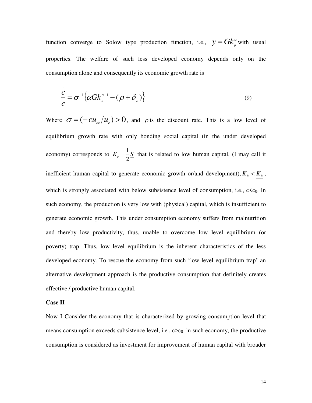function converge to Solow type production function, i.e.,  $y = G k_p^{\alpha}$  with usual properties. The welfare of such less developed economy depends only on the consumption alone and consequently its economic growth rate is

$$
\frac{c}{c} = \sigma^{-1} \left\{ \alpha G k_{p}^{\alpha - 1} - (\rho + \delta_{p}) \right\}
$$
\n(9)

Where  $\sigma = (-cu_{cc}/u_c) > 0$ , and  $\rho$  is the discount rate. This is a low level of equilibrium growth rate with only bonding social capital (in the under developed economy) corresponds to  $K_s = \frac{1}{2}S$ 2  $=$   $\frac{1}{2}S$  that is related to low human capital, (I may call it inefficient human capital to generate economic growth or/and development),  $K_h < K_h$ , which is strongly associated with below subsistence level of consumption, i.e.,  $c \lt c_0$ . In such economy, the production is very low with (physical) capital, which is insufficient to generate economic growth. This under consumption economy suffers from malnutrition and thereby low productivity, thus, unable to overcome low level equilibrium (or poverty) trap. Thus, low level equilibrium is the inherent characteristics of the less developed economy. To rescue the economy from such 'low level equilibrium trap' an alternative development approach is the productive consumption that definitely creates effective / productive human capital.

#### **Case II**

Now I Consider the economy that is characterized by growing consumption level that means consumption exceeds subsistence level, i.e.,  $c > c_0$ . in such economy, the productive consumption is considered as investment for improvement of human capital with broader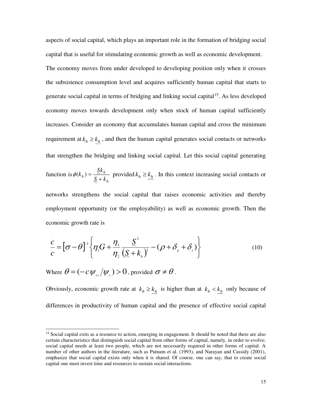aspects of social capital, which plays an important role in the formation of bridging social capital that is useful for stimulating economic growth as well as economic development. The economy moves from under developed to developing position only when it crosses the subsistence consumption level and acquires sufficiently human capital that starts to generate social capital in terms of bridging and linking social capital<sup>15</sup>. As less developed economy moves towards development only when stock of human capital sufficiently increases. Consider an economy that accumulates human capital and cross the minimum requirement at  $k_h \geq k_h$ , and then the human capital generates social contacts or networks that strengthen the bridging and linking social capital. Let this social capital generating function is *h*  $h) = \frac{2h}{S+k}$  $k_{k}$ ) =  $\frac{\leq k}{k}$  $\phi(k_h) = \frac{p k_h}{S + k_h}$  provided  $k_h \geq \frac{k_h}{2}$ . In this context increasing social contacts or networks strengthens the social capital that raises economic activities and thereby

employment opportunity (or the employability) as well as economic growth. Then the economic growth rate is

$$
\frac{c}{c} = [\sigma - \theta]^{-1} \left\{ \eta_1 G + \frac{\eta_3}{\eta_2} \frac{\underline{S}^2}{(\underline{S} + k_h)^2} - (\rho + \delta_p + \delta_s) \right\}
$$
(10)

Where  $\theta = (-c \psi_{cc}/\psi_c) > 0$ , provided  $\sigma \neq \theta$ .

 $\overline{a}$ 

Obviously, economic growth rate at  $k_h \ge k_h$  is higher than at  $k_h < k_h$  only because of differences in productivity of human capital and the presence of effective social capital

<sup>&</sup>lt;sup>15</sup> Social capital exits as a resource to action, emerging in engagement. It should be noted that there are also certain characteristics that distinguish social capital from other forms of capital, namely, in order to evolve; social capital needs at least two people, which are not necessarily required in other forms of capital. A number of other authors in the literature, such as Putnam et al. (1993), and Narayan and Cassidy (2001), emphasize that social capital exists only when it is shared. Of course, one can say, that to create social capital one must invest time and resources to sustain social interactions.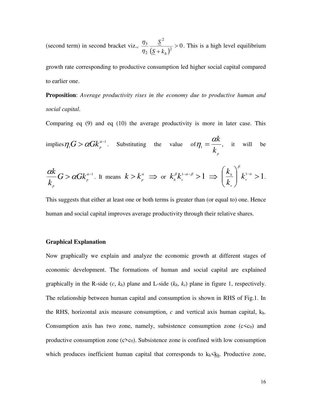(second term) in second bracket viz.,  $\frac{H_3}{\eta_2} \frac{Q}{(\underline{S} + k_h)^2} > 0$ 2 2 2  $\frac{3}{2}$   $\frac{2}{2}$  >  $\underline{S}$  +  $k_h$ *S*  $\eta$  $\frac{\eta_3}{\eta_4}$   $\frac{S}{\eta_2}$  > 0. This is a high level equilibrium

growth rate corresponding to productive consumption led higher social capital compared to earlier one.

**Proposition**: *Average productivity rises in the economy due to productive human and social capital*.

Comparing eq (9) and eq (10) the average productivity is more in later case. This

implies
$$
\eta_1 G > \alpha G k_p^{\alpha-1}
$$
. Substituting the value of  $\eta_1 = \frac{\alpha k}{k_p}$ , it will be

$$
\frac{\alpha k}{k_{p}}G > \alpha G k_{p}^{\alpha-1}.
$$
 It means  $k > k_{p}^{\alpha} \implies$  or  $k_{h}^{\beta} k_{s}^{1-\alpha-\beta} > 1 \implies \left(\frac{k_{h}}{k_{s}}\right)^{\beta} k_{s}^{1-\alpha} > 1.$ 

This suggests that either at least one or both terms is greater than (or equal to) one. Hence human and social capital improves average productivity through their relative shares.

#### **Graphical Explanation**

Now graphically we explain and analyze the economic growth at different stages of economic development. The formations of human and social capital are explained graphically in the R-side  $(c, k_h)$  plane and L-side  $(k_h, k_s)$  plane in figure 1, respectively. The relationship between human capital and consumption is shown in RHS of Fig.1. In the RHS, horizontal axis measure consumption,  $c$  and vertical axis human capital,  $k_h$ . Consumption axis has two zone, namely, subsistence consumption zone  $(c \lt c_0)$  and productive consumption zone  $(c>c_0)$ . Subsistence zone is confined with low consumption which produces inefficient human capital that corresponds to  $k_h \leq k_h$ . Productive zone,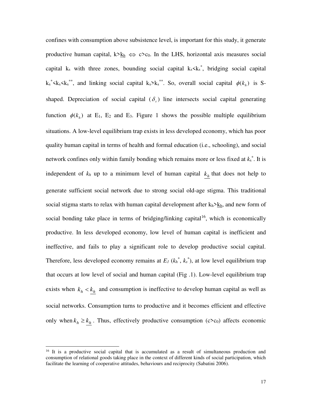confines with consumption above subsistence level, is important for this study, it generate productive human capital,  $k > k_h \Leftrightarrow c > c_0$ . In the LHS, horizontal axis measures social capital  $k_s$  with three zones, bounding social capital  $k_s {k_s}^*$ , bridging social capital  $k_s$ <sup>\*</sup> $k_s$   $k_s$ <sup>\*\*</sup>, and linking social capital  $k_s$  $k_s$ <sup>\*\*</sup>. So, overall social capital  $\phi(k_h)$  is Sshaped. Depreciation of social capital  $(\delta)$  line intersects social capital generating function  $\phi(k_h)$  at E<sub>1</sub>, E<sub>2</sub> and E<sub>3</sub>. Figure 1 shows the possible multiple equilibrium situations. A low-level equilibrium trap exists in less developed economy, which has poor quality human capital in terms of health and formal education (i.e., schooling), and social network confines only within family bonding which remains more or less fixed at *k*<sup>s</sup> \* . It is independent of  $k_h$  up to a minimum level of human capital  $k_h$  that does not help to generate sufficient social network due to strong social old-age stigma. This traditional social stigma starts to relax with human capital development after  $k_h > k_h$ , and new form of social bonding take place in terms of bridging/linking capital<sup>16</sup>, which is economically productive. In less developed economy, low level of human capital is inefficient and ineffective, and fails to play a significant role to develop productive social capital. Therefore, less developed economy remains at  $E_l$  ( $k_h^*, k_s^*$ ), at low level equilibrium trap that occurs at low level of social and human capital (Fig .1). Low-level equilibrium trap exists when  $k_h < k_h$  and consumption is ineffective to develop human capital as well as social networks. Consumption turns to productive and it becomes efficient and effective only when  $k_h \geq k_h$ . Thus, effectively productive consumption (c>c<sub>0</sub>) affects economic

 $\overline{a}$ 

<sup>&</sup>lt;sup>16</sup> It is a productive social capital that is accumulated as a result of simultaneous production and consumption of relational goods taking place in the context of different kinds of social participation, which facilitate the learning of cooperative attitudes, behaviours and reciprocity (Sabatini 2006).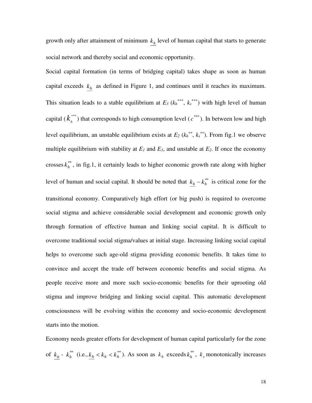growth only after attainment of minimum  $k<sub>h</sub>$  level of human capital that starts to generate social network and thereby social and economic opportunity.

Social capital formation (in terms of bridging capital) takes shape as soon as human capital exceeds  $k<sub>h</sub>$  as defined in Figure 1, and continues until it reaches its maximum. This situation leads to a stable equilibrium at  $E_3$  ( $k_h^{***}$ ,  $k_s^{***}$ ) with high level of human capital ( $k<sub>h</sub><sup>***</sup>$ ) that corresponds to high consumption level ( $c<sup>***</sup>$ ). In between low and high level equilibrium, an unstable equilibrium exists at  $E_2$  ( $k_h^{**}$ ,  $k_s^{**}$ ). From fig.1 we observe multiple equilibrium with stability at  $E_1$  and  $E_3$ , and unstable at  $E_2$ . If once the economy crosses  $k<sub>h</sub><sup>*</sup>$ , in fig.1, it certainly leads to higher economic growth rate along with higher level of human and social capital. It should be noted that  $k_h - k_h^{**}$  is critical zone for the transitional economy. Comparatively high effort (or big push) is required to overcome social stigma and achieve considerable social development and economic growth only through formation of effective human and linking social capital. It is difficult to overcome traditional social stigma/values at initial stage. Increasing linking social capital helps to overcome such age-old stigma providing economic benefits. It takes time to convince and accept the trade off between economic benefits and social stigma. As people receive more and more such socio-economic benefits for their uprooting old stigma and improve bridging and linking social capital. This automatic development consciousness will be evolving within the economy and socio-economic development starts into the motion.

Economy needs greater efforts for development of human capital particularly for the zone of  $k_h$  -  $k_h^*$  (i.e.,  $k_h < k_h < k_h^*$ ). As soon as  $k_h$  exceeds  $k_h^{**}$ ,  $k_s$  monotonically increases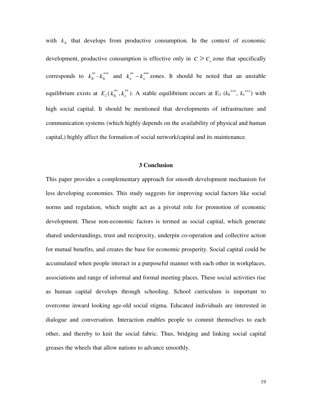with  $k_h$  that develops from productive consumption. In the context of economic development, productive consumption is effective only in  $c > c<sub>o</sub>$  zone that specifically corresponds to  $k_h^{**}$  -  $k_h^{***}$  and  $k_s^{**}$  -  $k_s^{***}$  zones. It should be noted that an unstable equilibrium exists at  $E_2(k_h^{**}, k_s^{**})$ . A stable equilibrium occurs at E<sub>3</sub> ( $k_h^{***}$ ,  $k_s^{***}$ ) with high social capital. It should be mentioned that developments of infrastructure and communication systems (which highly depends on the availability of physical and human capital,) highly affect the formation of social network/capital and its maintenance.

#### **3 Conclusion**

This paper provides a complementary approach for smooth development mechanism for less developing economies. This study suggests for improving social factors like social norms and regulation, which might act as a pivotal role for promotion of economic development. These non-economic factors is termed as social capital, which generate shared understandings, trust and reciprocity, underpin co-operation and collective action for mutual benefits, and creates the base for economic prosperity. Social capital could be accumulated when people interact in a purposeful manner with each other in workplaces, associations and range of informal and formal meeting places. These social activities rise as human capital develops through schooling. School curriculum is important to overcome inward looking age-old social stigma. Educated individuals are interested in dialogue and conversation. Interaction enables people to commit themselves to each other, and thereby to knit the social fabric. Thus, bridging and linking social capital greases the wheels that allow nations to advance smoothly.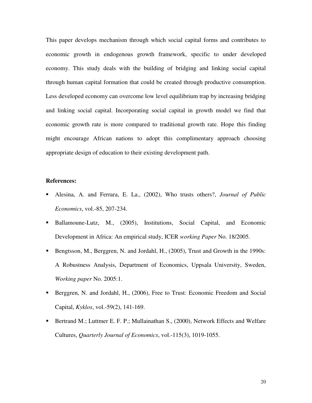This paper develops mechanism through which social capital forms and contributes to economic growth in endogenous growth framework, specific to under developed economy. This study deals with the building of bridging and linking social capital through human capital formation that could be created through productive consumption. Less developed economy can overcome low level equilibrium trap by increasing bridging and linking social capital. Incorporating social capital in growth model we find that economic growth rate is more compared to traditional growth rate. Hope this finding might encourage African nations to adopt this complimentary approach choosing appropriate design of education to their existing development path.

#### **References:**

- Alesina, A. and Ferrara, E. La., (2002), Who trusts others?, *Journal of Public Economics*, vol.-85, 207-234.
- Ballamoune-Lutz, M., (2005), Institutions, Social Capital, and Economic Development in Africa: An empirical study, ICER *working Paper* No. 18/2005.
- Bengtsson, M., Berggren, N. and Jordahl, H., (2005), Trust and Growth in the 1990s: A Robustness Analysis, Department of Economics, Uppsala University, Sweden, *Working paper* No. 2005:1.
- Berggren, N. and Jordahl, H., (2006), Free to Trust: Economic Freedom and Social Capital, *Kyklos*, vol.-59(2), 141-169.
- **Bertrand M.; Luttmer E. F. P.; Mullainathan S., (2000), Network Effects and Welfare** Cultures, *Quarterly Journal of Economics*, vol.-115(3), 1019-1055.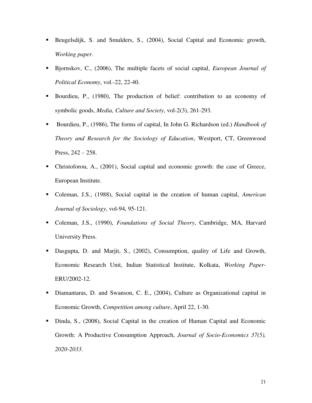- Beugelsdijk, S. and Smulders, S., (2004), Social Capital and Economic growth, *Working paper*.
- Bjornskov, C., (2006), The multiple facets of social capital, *European Journal of Political Economy*, vol.-22, 22-40.
- Bourdieu, P., (1980), The production of belief: contribution to an economy of symbolic goods, *Media, Culture and Society*, vol-2(3), 261-293.
- Bourdieu, P., (1986), The forms of capital, In John G. Richardson (ed.) *Handbook of Theory and Research for the Sociology of Education*, Westport, CT, Greenwood Press,  $242 - 258$ .
- Christoforou, A., (2001), Social capital and economic growth: the case of Greece, European Institute.
- Coleman, J.S., (1988), Social capital in the creation of human capital, *American Journal of Sociology*, vol-94, 95-121.
- Coleman, J.S., (1990), *Foundations of Social Theory*, Cambridge, MA, Harvard University Press.
- Dasgupta, D. and Marjit, S., (2002), Consumption, quality of Life and Growth, Economic Research Unit, Indian Statistical Institute, Kolkata, *Working Paper*-ERU/2002-12.
- Diamantaras, D. and Swanson, C. E., (2004), Culture as Organizational capital in Economic Growth, *Competition among culture*, April 22, 1-30.
- Dinda, S., (2008), Social Capital in the creation of Human Capital and Economic Growth: A Productive Consumption Approach, *Journal of Socio-Economics 37(5), 2020-2033*.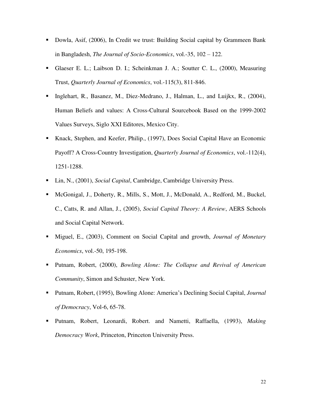- Dowla, Asif, (2006), In Credit we trust: Building Social capital by Grammeen Bank in Bangladesh, *The Journal of Socio-Economics*, vol.-35, 102 – 122.
- Glaeser E. L.; Laibson D. I.; Scheinkman J. A.; Soutter C. L., (2000), Measuring Trust, *Quarterly Journal of Economics*, vol.-115(3), 811-846.
- Inglehart, R., Basanez, M., Diez-Medrano, J., Halman, L., and Luijkx, R., (2004), Human Beliefs and values: A Cross-Cultural Sourcebook Based on the 1999-2002 Values Surveys, Siglo XXI Editores, Mexico City.
- Knack, Stephen, and Keefer, Philip., (1997), Does Social Capital Have an Economic Payoff? A Cross-Country Investigation, *Quarterly Journal of Economics*, vol.-112(4), 1251-1288.
- Lin, N., (2001), *Social Capital*, Cambridge, Cambridge University Press.
- McGonigal, J., Doherty, R., Mills, S., Mott, J., McDonald, A., Redford, M., Buckel, C., Catts, R. and Allan, J., (2005), *Social Capital Theory: A Review*, AERS Schools and Social Capital Network.
- Miguel, E., (2003), Comment on Social Capital and growth, *Journal of Monetary Economics*, vol.-50, 195-198.
- Putnam, Robert, (2000), *Bowling Alone: The Collapse and Revival of American Community*, Simon and Schuster, New York.
- Putnam, Robert, (1995), Bowling Alone: America's Declining Social Capital, *Journal of Democracy*, Vol-6, 65-78.
- Putnam, Robert, Leonardi, Robert. and Nametti, Raffaella, (1993), *Making Democracy Work*, Princeton, Princeton University Press.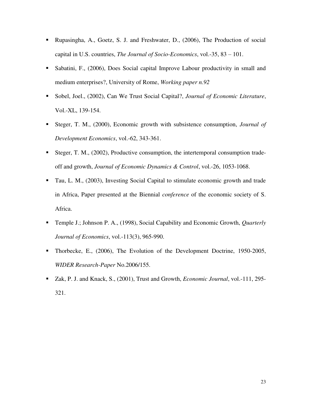- Rupasingha, A., Goetz, S. J. and Freshwater, D., (2006), The Production of social capital in U.S. countries, *The Journal of Socio-Economics*, vol.-35, 83 – 101.
- Sabatini, F., (2006), Does Social capital Improve Labour productivity in small and medium enterprises?, University of Rome, *Working paper n.92*
- Sobel, Joel., (2002), Can We Trust Social Capital?, *Journal of Economic Literature*, Vol.-XL, 139-154.
- Steger, T. M., (2000), Economic growth with subsistence consumption, *Journal of Development Economics*, vol.-62, 343-361.
- Steger, T. M., (2002), Productive consumption, the intertemporal consumption tradeoff and growth, *Journal of Economic Dynamics & Control*, vol.-26, 1053-1068.
- Tau, L. M., (2003), Investing Social Capital to stimulate economic growth and trade in Africa, Paper presented at the Biennial *conference* of the economic society of S. Africa.
- Temple J.; Johnson P. A., (1998), Social Capability and Economic Growth, *Quarterly Journal of Economics*, vol.-113(3), 965-990.
- Thorbecke, E., (2006), The Evolution of the Development Doctrine, 1950-2005, *WIDER Research-Paper* No.2006/155.
- Zak, P. J. and Knack, S., (2001), Trust and Growth, *Economic Journal*, vol.-111, 295- 321.